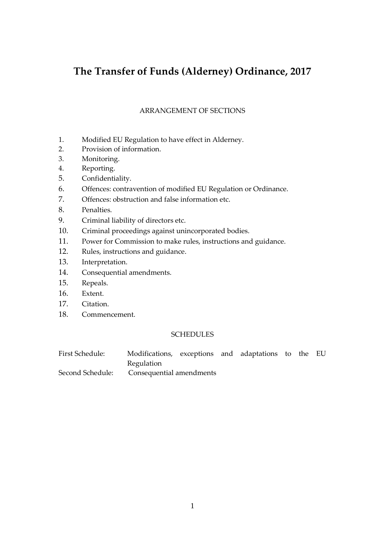# **The Transfer of Funds (Alderney) Ordinance, 2017**

## ARRANGEMENT OF SECTIONS

- 1. Modified EU Regulation to have effect in Alderney.
- 2. Provision of information.
- 3. Monitoring.
- 4. Reporting.
- 5. Confidentiality.
- 6. Offences: contravention of modified EU Regulation or Ordinance.
- 7. Offences: obstruction and false information etc.
- 8. Penalties.
- 9. Criminal liability of directors etc.
- 10. Criminal proceedings against unincorporated bodies.
- 11. Power for Commission to make rules, instructions and guidance.
- 12. Rules, instructions and guidance.
- 13. Interpretation.
- 14. Consequential amendments.
- 15. Repeals.
- 16. Extent.
- 17. Citation.
- 18. Commencement.

## SCHEDULES

| First Schedule:  | Modifications, exceptions and adaptations to the EU |  |  |  |  |
|------------------|-----------------------------------------------------|--|--|--|--|
|                  | <b>Regulation</b>                                   |  |  |  |  |
| Second Schedule: | Consequential amendments                            |  |  |  |  |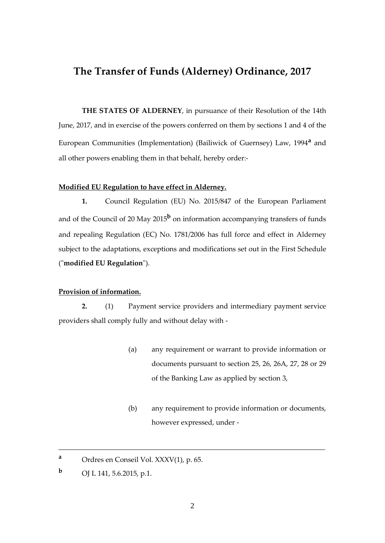## **The Transfer of Funds (Alderney) Ordinance, 2017**

**THE STATES OF ALDERNEY**, in pursuance of their Resolution of the 14th June, 2017, and in exercise of the powers conferred on them by sections 1 and 4 of the European Communities (Implementation) (Bailiwick of Guernsey) Law, 1994**<sup>a</sup>** and all other powers enabling them in that behalf, hereby order:-

#### **Modified EU Regulation to have effect in Alderney.**

**1.** Council Regulation (EU) No. 2015/847 of the European Parliament and of the Council of 20 May 2015**<sup>b</sup>** on information accompanying transfers of funds and repealing Regulation (EC) No. 1781/2006 has full force and effect in Alderney subject to the adaptations, exceptions and modifications set out in the First Schedule ("**modified EU Regulation**").

#### **Provision of information.**

**2.** (1) Payment service providers and intermediary payment service providers shall comply fully and without delay with -

- (a) any requirement or warrant to provide information or documents pursuant to section 25, 26, 26A, 27, 28 or 29 of the Banking Law as applied by section 3,
- (b) any requirement to provide information or documents, however expressed, under -

**<sup>a</sup>** Ordres en Conseil Vol. XXXV(1), p. 65.

**<sup>b</sup>** OJ L 141, 5.6.2015, p.1.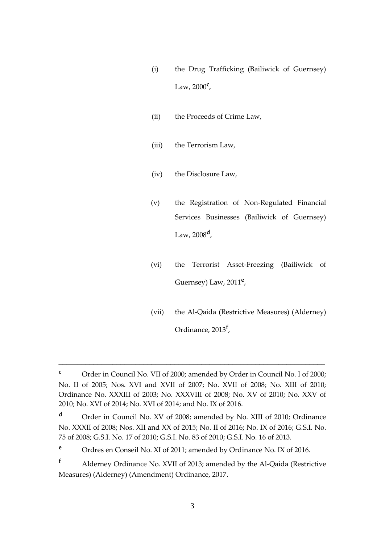- (i) the Drug Trafficking (Bailiwick of Guernsey) Law, 2000**<sup>c</sup>** ,
- (ii) the Proceeds of Crime Law,
- (iii) the Terrorism Law,
- (iv) the Disclosure Law,
- (v) the Registration of Non-Regulated Financial Services Businesses (Bailiwick of Guernsey) Law, 2008**<sup>d</sup>** ,
- (vi) the Terrorist Asset-Freezing (Bailiwick of Guernsey) Law, 2011**<sup>e</sup>** ,
- (vii) the Al-Qaida (Restrictive Measures) (Alderney) Ordinance, 2013**<sup>f</sup>** ,

**<sup>c</sup>** Order in Council No. VII of 2000; amended by Order in Council No. I of 2000; No. II of 2005; Nos. XVI and XVII of 2007; No. XVII of 2008; No. XIII of 2010; Ordinance No. XXXIII of 2003; No. XXXVIII of 2008; No. XV of 2010; No. XXV of 2010; No. XVI of 2014; No. XVI of 2014; and No. IX of 2016.

**<sup>d</sup>** Order in Council No. XV of 2008; amended by No. XIII of 2010; Ordinance No. XXXII of 2008; Nos. XII and XX of 2015; No. II of 2016; No. IX of 2016; G.S.I. No. 75 of 2008; G.S.I. No. 17 of 2010; G.S.I. No. 83 of 2010; G.S.I. No. 16 of 2013.

**<sup>e</sup>** Ordres en Conseil No. XI of 2011; amended by Ordinance No. IX of 2016.

**<sup>f</sup>** Alderney Ordinance No. XVII of 2013; amended by the Al-Qaida (Restrictive Measures) (Alderney) (Amendment) Ordinance, 2017.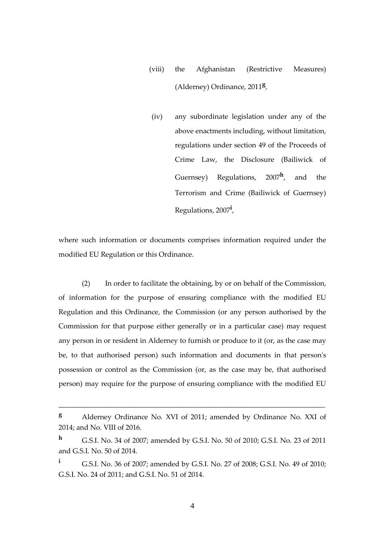- (viii) the Afghanistan (Restrictive Measures) (Alderney) Ordinance, 2011**<sup>g</sup>** ,
- (iv) any subordinate legislation under any of the above enactments including, without limitation, regulations under section 49 of the Proceeds of Crime Law, the Disclosure (Bailiwick of Guernsey) Regulations, 2007**<sup>h</sup>** , and the Terrorism and Crime (Bailiwick of Guernsey) Regulations, 2007**<sup>i</sup>** ,

where such information or documents comprises information required under the modified EU Regulation or this Ordinance.

(2) In order to facilitate the obtaining, by or on behalf of the Commission, of information for the purpose of ensuring compliance with the modified EU Regulation and this Ordinance, the Commission (or any person authorised by the Commission for that purpose either generally or in a particular case) may request any person in or resident in Alderney to furnish or produce to it (or, as the case may be, to that authorised person) such information and documents in that person's possession or control as the Commission (or, as the case may be, that authorised person) may require for the purpose of ensuring compliance with the modified EU

\_\_\_\_\_\_\_\_\_\_\_\_\_\_\_\_\_\_\_\_\_\_\_\_\_\_\_\_\_\_\_\_\_\_\_\_\_\_\_\_\_\_\_\_\_\_\_\_\_\_\_\_\_\_\_\_\_\_\_\_\_\_\_\_\_\_\_\_\_

**<sup>i</sup>** G.S.I. No. 36 of 2007; amended by G.S.I. No. 27 of 2008; G.S.I. No. 49 of 2010; G.S.I. No. 24 of 2011; and G.S.I. No. 51 of 2014.

**<sup>g</sup>** Alderney Ordinance No. XVI of 2011; amended by Ordinance No. XXI of 2014; and No. VIII of 2016.

**<sup>h</sup>** G.S.I. No. 34 of 2007; amended by G.S.I. No. 50 of 2010; G.S.I. No. 23 of 2011 and G.S.I. No. 50 of 2014.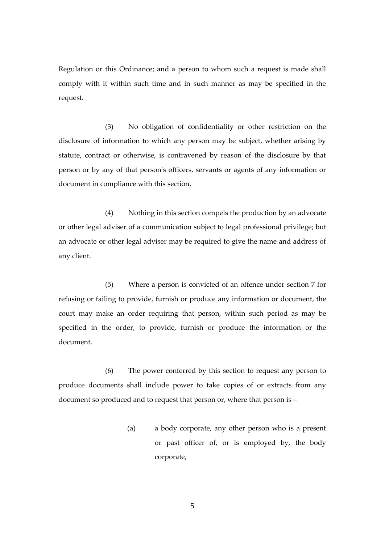Regulation or this Ordinance; and a person to whom such a request is made shall comply with it within such time and in such manner as may be specified in the request.

(3) No obligation of confidentiality or other restriction on the disclosure of information to which any person may be subject, whether arising by statute, contract or otherwise, is contravened by reason of the disclosure by that person or by any of that person's officers, servants or agents of any information or document in compliance with this section.

(4) Nothing in this section compels the production by an advocate or other legal adviser of a communication subject to legal professional privilege; but an advocate or other legal adviser may be required to give the name and address of any client.

(5) Where a person is convicted of an offence under section 7 for refusing or failing to provide, furnish or produce any information or document, the court may make an order requiring that person, within such period as may be specified in the order, to provide, furnish or produce the information or the document.

(6) The power conferred by this section to request any person to produce documents shall include power to take copies of or extracts from any document so produced and to request that person or, where that person is –

> (a) a body corporate, any other person who is a present or past officer of, or is employed by, the body corporate,

> > 5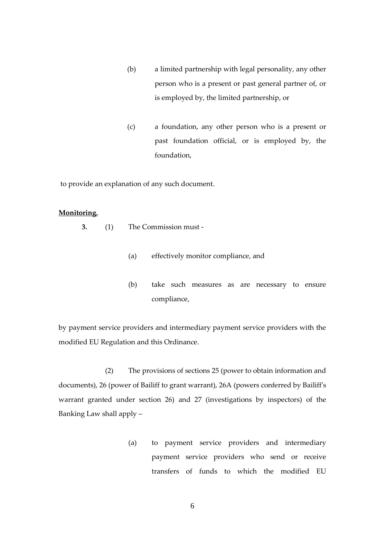- (b) a limited partnership with legal personality, any other person who is a present or past general partner of, or is employed by, the limited partnership, or
- (c) a foundation, any other person who is a present or past foundation official, or is employed by, the foundation,

to provide an explanation of any such document.

#### **Monitoring.**

- **3.** (1) The Commission must
	- (a) effectively monitor compliance, and
	- (b) take such measures as are necessary to ensure compliance,

by payment service providers and intermediary payment service providers with the modified EU Regulation and this Ordinance.

(2) The provisions of sections 25 (power to obtain information and documents), 26 (power of Bailiff to grant warrant), 26A (powers conferred by Bailiff's warrant granted under section 26) and 27 (investigations by inspectors) of the Banking Law shall apply –

> (a) to payment service providers and intermediary payment service providers who send or receive transfers of funds to which the modified EU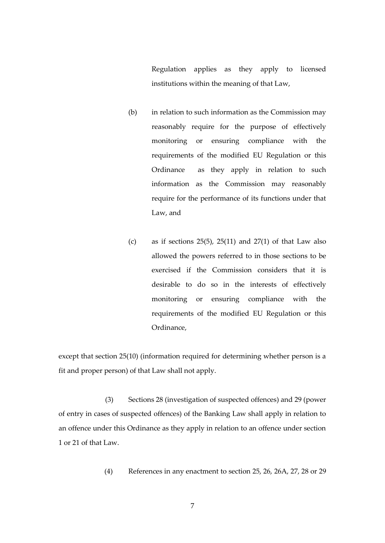Regulation applies as they apply to licensed institutions within the meaning of that Law,

- (b) in relation to such information as the Commission may reasonably require for the purpose of effectively monitoring or ensuring compliance with the requirements of the modified EU Regulation or this Ordinance as they apply in relation to such information as the Commission may reasonably require for the performance of its functions under that Law, and
- (c) as if sections  $25(5)$ ,  $25(11)$  and  $27(1)$  of that Law also allowed the powers referred to in those sections to be exercised if the Commission considers that it is desirable to do so in the interests of effectively monitoring or ensuring compliance with the requirements of the modified EU Regulation or this Ordinance,

except that section 25(10) (information required for determining whether person is a fit and proper person) of that Law shall not apply.

(3) Sections 28 (investigation of suspected offences) and 29 (power of entry in cases of suspected offences) of the Banking Law shall apply in relation to an offence under this Ordinance as they apply in relation to an offence under section 1 or 21 of that Law.

(4) References in any enactment to section 25, 26, 26A, 27, 28 or 29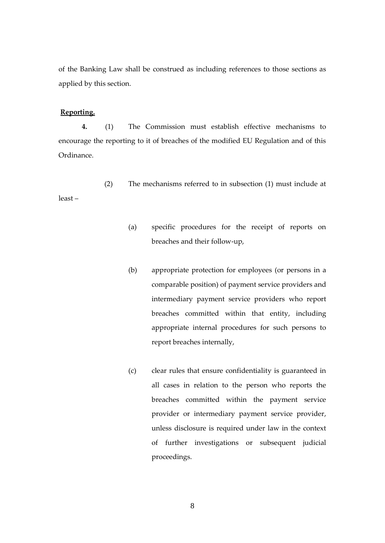of the Banking Law shall be construed as including references to those sections as applied by this section.

#### **Reporting.**

**4.** (1) The Commission must establish effective mechanisms to encourage the reporting to it of breaches of the modified EU Regulation and of this Ordinance.

(2) The mechanisms referred to in subsection (1) must include at least –

- (a) specific procedures for the receipt of reports on breaches and their follow-up,
- (b) appropriate protection for employees (or persons in a comparable position) of payment service providers and intermediary payment service providers who report breaches committed within that entity, including appropriate internal procedures for such persons to report breaches internally,
- (c) clear rules that ensure confidentiality is guaranteed in all cases in relation to the person who reports the breaches committed within the payment service provider or intermediary payment service provider, unless disclosure is required under law in the context of further investigations or subsequent judicial proceedings.

8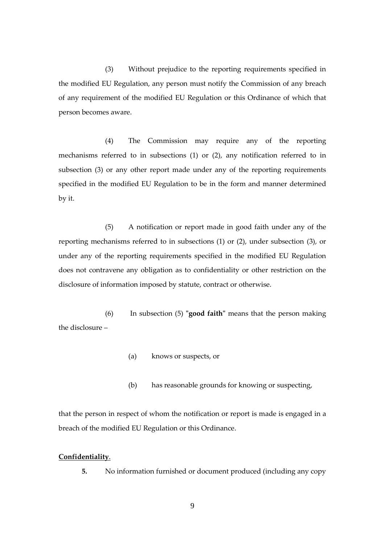(3) Without prejudice to the reporting requirements specified in the modified EU Regulation, any person must notify the Commission of any breach of any requirement of the modified EU Regulation or this Ordinance of which that person becomes aware.

(4) The Commission may require any of the reporting mechanisms referred to in subsections (1) or (2), any notification referred to in subsection (3) or any other report made under any of the reporting requirements specified in the modified EU Regulation to be in the form and manner determined by it.

(5) A notification or report made in good faith under any of the reporting mechanisms referred to in subsections (1) or (2), under subsection (3), or under any of the reporting requirements specified in the modified EU Regulation does not contravene any obligation as to confidentiality or other restriction on the disclosure of information imposed by statute, contract or otherwise.

(6) In subsection (5) **"good faith"** means that the person making the disclosure –

- (a) knows or suspects, or
- (b) has reasonable grounds for knowing or suspecting,

that the person in respect of whom the notification or report is made is engaged in a breach of the modified EU Regulation or this Ordinance.

## **Confidentiality**.

**5.** No information furnished or document produced (including any copy

9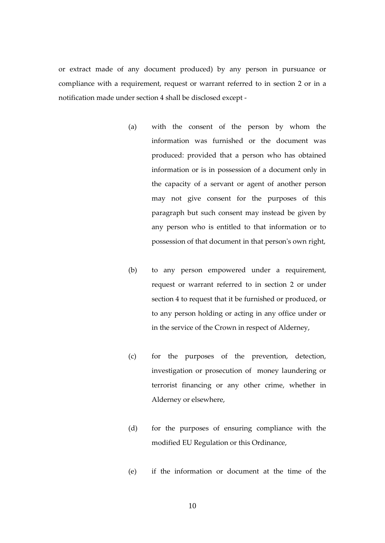or extract made of any document produced) by any person in pursuance or compliance with a requirement, request or warrant referred to in section 2 or in a notification made under section 4 shall be disclosed except -

- (a) with the consent of the person by whom the information was furnished or the document was produced: provided that a person who has obtained information or is in possession of a document only in the capacity of a servant or agent of another person may not give consent for the purposes of this paragraph but such consent may instead be given by any person who is entitled to that information or to possession of that document in that person's own right,
- (b) to any person empowered under a requirement, request or warrant referred to in section 2 or under section 4 to request that it be furnished or produced, or to any person holding or acting in any office under or in the service of the Crown in respect of Alderney,
- (c) for the purposes of the prevention, detection, investigation or prosecution of money laundering or terrorist financing or any other crime, whether in Alderney or elsewhere,
- (d) for the purposes of ensuring compliance with the modified EU Regulation or this Ordinance,
- (e) if the information or document at the time of the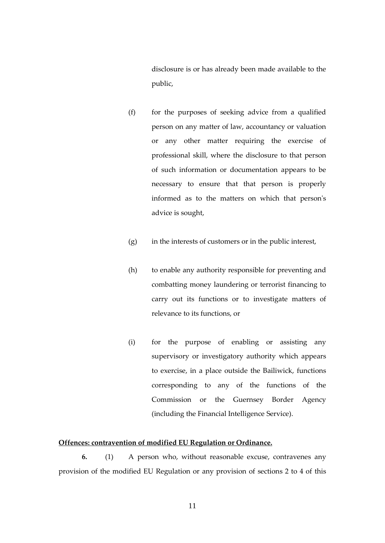disclosure is or has already been made available to the public,

- (f) for the purposes of seeking advice from a qualified person on any matter of law, accountancy or valuation or any other matter requiring the exercise of professional skill, where the disclosure to that person of such information or documentation appears to be necessary to ensure that that person is properly informed as to the matters on which that person's advice is sought,
- (g) in the interests of customers or in the public interest,
- (h) to enable any authority responsible for preventing and combatting money laundering or terrorist financing to carry out its functions or to investigate matters of relevance to its functions, or
- (i) for the purpose of enabling or assisting any supervisory or investigatory authority which appears to exercise, in a place outside the Bailiwick, functions corresponding to any of the functions of the Commission or the Guernsey Border Agency (including the Financial Intelligence Service).

#### **Offences: contravention of modified EU Regulation or Ordinance.**

**6.** (1) A person who, without reasonable excuse, contravenes any provision of the modified EU Regulation or any provision of sections 2 to 4 of this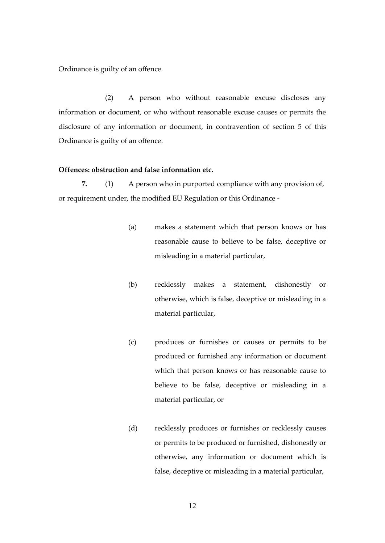Ordinance is guilty of an offence.

(2) A person who without reasonable excuse discloses any information or document, or who without reasonable excuse causes or permits the disclosure of any information or document, in contravention of section 5 of this Ordinance is guilty of an offence.

#### **Offences: obstruction and false information etc.**

**7.** (1) A person who in purported compliance with any provision of, or requirement under, the modified EU Regulation or this Ordinance -

- (a) makes a statement which that person knows or has reasonable cause to believe to be false, deceptive or misleading in a material particular,
- (b) recklessly makes a statement, dishonestly or otherwise, which is false, deceptive or misleading in a material particular,
- (c) produces or furnishes or causes or permits to be produced or furnished any information or document which that person knows or has reasonable cause to believe to be false, deceptive or misleading in a material particular, or
- (d) recklessly produces or furnishes or recklessly causes or permits to be produced or furnished, dishonestly or otherwise, any information or document which is false, deceptive or misleading in a material particular,

12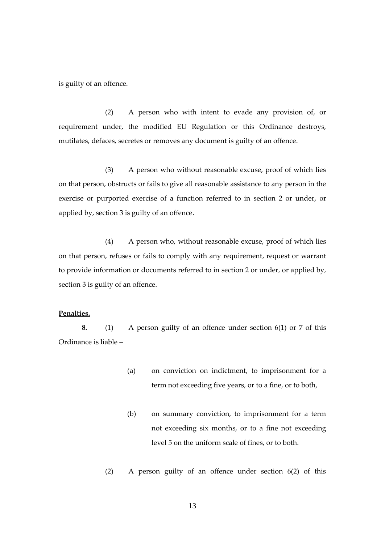is guilty of an offence.

(2) A person who with intent to evade any provision of, or requirement under, the modified EU Regulation or this Ordinance destroys, mutilates, defaces, secretes or removes any document is guilty of an offence.

(3) A person who without reasonable excuse, proof of which lies on that person, obstructs or fails to give all reasonable assistance to any person in the exercise or purported exercise of a function referred to in section 2 or under, or applied by, section 3 is guilty of an offence.

(4) A person who, without reasonable excuse, proof of which lies on that person, refuses or fails to comply with any requirement, request or warrant to provide information or documents referred to in section 2 or under, or applied by, section 3 is guilty of an offence.

## **Penalties.**

**8.** (1) A person guilty of an offence under section 6(1) or 7 of this Ordinance is liable –

- (a) on conviction on indictment, to imprisonment for a term not exceeding five years, or to a fine, or to both,
- (b) on summary conviction, to imprisonment for a term not exceeding six months, or to a fine not exceeding level 5 on the uniform scale of fines, or to both.
- (2) A person guilty of an offence under section 6(2) of this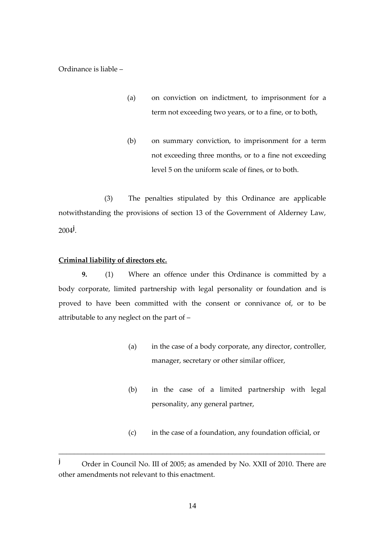Ordinance is liable –

- (a) on conviction on indictment, to imprisonment for a term not exceeding two years, or to a fine, or to both,
- (b) on summary conviction, to imprisonment for a term not exceeding three months, or to a fine not exceeding level 5 on the uniform scale of fines, or to both.

(3) The penalties stipulated by this Ordinance are applicable notwithstanding the provisions of section 13 of the Government of Alderney Law, 2004**<sup>j</sup>** .

## **Criminal liability of directors etc.**

**9.** (1) Where an offence under this Ordinance is committed by a body corporate, limited partnership with legal personality or foundation and is proved to have been committed with the consent or connivance of, or to be attributable to any neglect on the part of –

- (a) in the case of a body corporate, any director, controller, manager, secretary or other similar officer,
- (b) in the case of a limited partnership with legal personality, any general partner,
- (c) in the case of a foundation, any foundation official, or

**j** Order in Council No. III of 2005; as amended by No. XXII of 2010. There are other amendments not relevant to this enactment.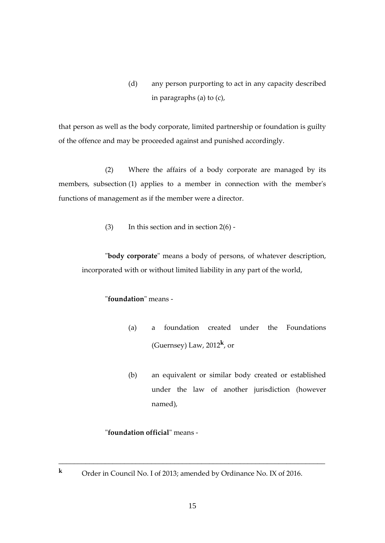(d) any person purporting to act in any capacity described in paragraphs (a) to (c),

that person as well as the body corporate, limited partnership or foundation is guilty of the offence and may be proceeded against and punished accordingly.

(2) Where the affairs of a body corporate are managed by its members, subsection (1) applies to a member in connection with the member's functions of management as if the member were a director.

(3) In this section and in section  $2(6)$  -

"**body corporate**" means a body of persons, of whatever description, incorporated with or without limited liability in any part of the world,

## "**foundation**" means -

- (a) a foundation created under the Foundations (Guernsey) Law, 2012**<sup>k</sup>** , or
- (b) an equivalent or similar body created or established under the law of another jurisdiction (however named),

## "**foundation official**" means -

**<sup>k</sup>** Order in Council No. I of 2013; amended by Ordinance No. IX of 2016.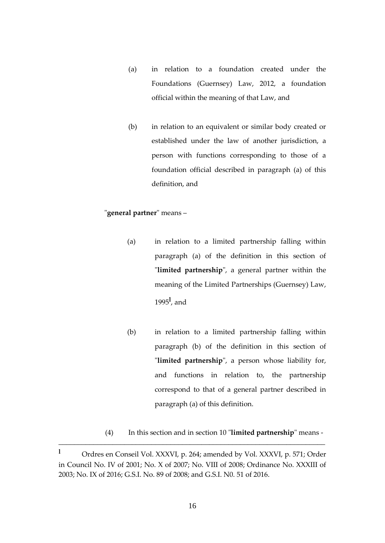- (a) in relation to a foundation created under the Foundations (Guernsey) Law, 2012, a foundation official within the meaning of that Law, and
- (b) in relation to an equivalent or similar body created or established under the law of another jurisdiction, a person with functions corresponding to those of a foundation official described in paragraph (a) of this definition, and

## "**general partner**" means –

- (a) in relation to a limited partnership falling within paragraph (a) of the definition in this section of "**limited partnership**", a general partner within the meaning of the Limited Partnerships (Guernsey) Law, 1995**<sup>l</sup>** , and
- (b) in relation to a limited partnership falling within paragraph (b) of the definition in this section of "**limited partnership**", a person whose liability for, and functions in relation to, the partnership correspond to that of a general partner described in paragraph (a) of this definition.

(4) In this section and in section 10 "**limited partnership**" means -

**<sup>l</sup>** Ordres en Conseil Vol. XXXVI, p. 264; amended by Vol. XXXVI, p. 571; Order in Council No. IV of 2001; No. X of 2007; No. VIII of 2008; Ordinance No. XXXIII of 2003; No. IX of 2016; G.S.I. No. 89 of 2008; and G.S.I. N0. 51 of 2016.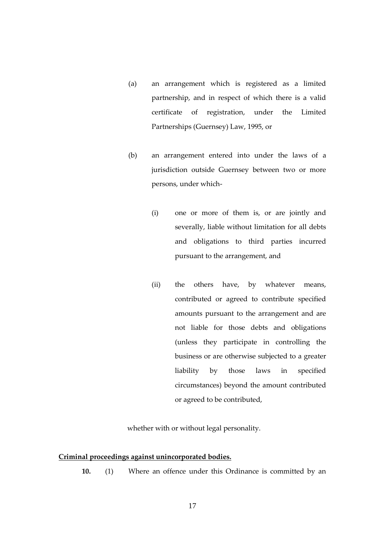- (a) an arrangement which is registered as a limited partnership, and in respect of which there is a valid certificate of registration, under the Limited Partnerships (Guernsey) Law, 1995, or
- (b) an arrangement entered into under the laws of a jurisdiction outside Guernsey between two or more persons, under which-
	- (i) one or more of them is, or are jointly and severally, liable without limitation for all debts and obligations to third parties incurred pursuant to the arrangement, and
	- (ii) the others have, by whatever means, contributed or agreed to contribute specified amounts pursuant to the arrangement and are not liable for those debts and obligations (unless they participate in controlling the business or are otherwise subjected to a greater liability by those laws in specified circumstances) beyond the amount contributed or agreed to be contributed,

whether with or without legal personality.

#### **Criminal proceedings against unincorporated bodies.**

**10.** (1) Where an offence under this Ordinance is committed by an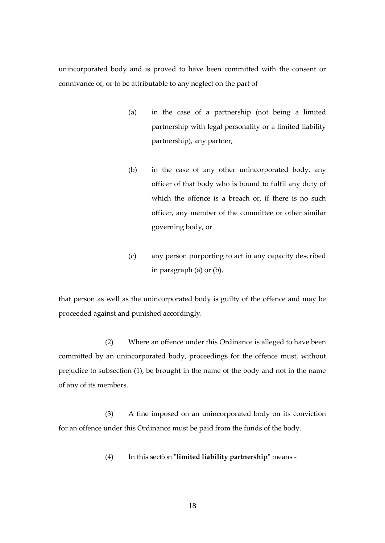unincorporated body and is proved to have been committed with the consent or connivance of, or to be attributable to any neglect on the part of -

- (a) in the case of a partnership (not being a limited partnership with legal personality or a limited liability partnership), any partner,
- (b) in the case of any other unincorporated body, any officer of that body who is bound to fulfil any duty of which the offence is a breach or, if there is no such officer, any member of the committee or other similar governing body, or
- (c) any person purporting to act in any capacity described in paragraph (a) or (b),

that person as well as the unincorporated body is guilty of the offence and may be proceeded against and punished accordingly.

(2) Where an offence under this Ordinance is alleged to have been committed by an unincorporated body, proceedings for the offence must, without prejudice to subsection (1), be brought in the name of the body and not in the name of any of its members.

(3) A fine imposed on an unincorporated body on its conviction for an offence under this Ordinance must be paid from the funds of the body.

(4) In this section "**limited liability partnership**" means -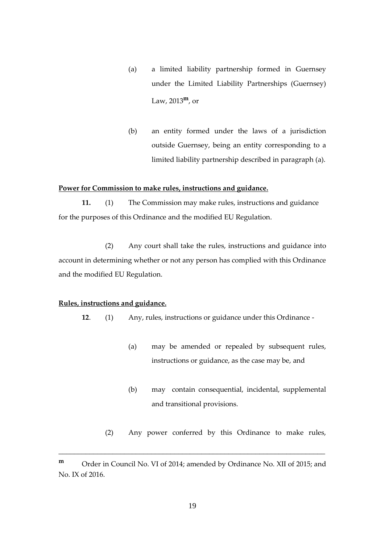- (a) a limited liability partnership formed in Guernsey under the Limited Liability Partnerships (Guernsey) Law, 2013**m**, or
- (b) an entity formed under the laws of a jurisdiction outside Guernsey, being an entity corresponding to a limited liability partnership described in paragraph (a).

#### **Power for Commission to make rules, instructions and guidance.**

**11.** (1) The Commission may make rules, instructions and guidance for the purposes of this Ordinance and the modified EU Regulation.

(2) Any court shall take the rules, instructions and guidance into account in determining whether or not any person has complied with this Ordinance and the modified EU Regulation.

#### **Rules, instructions and guidance.**

**12**. (1) Any, rules, instructions or guidance under this Ordinance -

- (a) may be amended or repealed by subsequent rules, instructions or guidance, as the case may be, and
- (b) may contain consequential, incidental, supplemental and transitional provisions.
- (2) Any power conferred by this Ordinance to make rules,

**m** Order in Council No. VI of 2014; amended by Ordinance No. XII of 2015; and No. IX of 2016.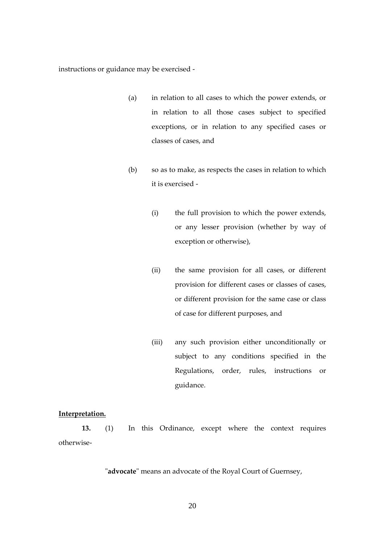instructions or guidance may be exercised -

- (a) in relation to all cases to which the power extends, or in relation to all those cases subject to specified exceptions, or in relation to any specified cases or classes of cases, and
- (b) so as to make, as respects the cases in relation to which it is exercised -
	- (i) the full provision to which the power extends, or any lesser provision (whether by way of exception or otherwise),
	- (ii) the same provision for all cases, or different provision for different cases or classes of cases, or different provision for the same case or class of case for different purposes, and
	- (iii) any such provision either unconditionally or subject to any conditions specified in the Regulations, order, rules, instructions or guidance.

## **Interpretation.**

**13.** (1) In this Ordinance, except where the context requires otherwise-

"**advocate**" means an advocate of the Royal Court of Guernsey,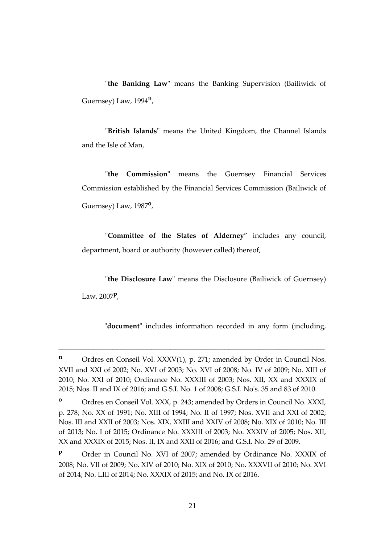"**the Banking Law**" means the Banking Supervision (Bailiwick of Guernsey) Law, 1994**<sup>n</sup>** ,

"**British Islands**" means the United Kingdom, the Channel Islands and the Isle of Man,

**"the Commission"** means the Guernsey Financial Services Commission established by the Financial Services Commission (Bailiwick of Guernsey) Law, 1987**<sup>o</sup>** ,

"**Committee of the States of Alderney**" includes any council, department, board or authority (however called) thereof,

"**the Disclosure Law**" means the Disclosure (Bailiwick of Guernsey) Law, 2007**<sup>p</sup>** ,

"**document**" includes information recorded in any form (including,

**n** Ordres en Conseil Vol. XXXV(1), p. 271; amended by Order in Council Nos. XVII and XXI of 2002; No. XVI of 2003; No. XVI of 2008; No. IV of 2009; No. XIII of 2010; No. XXI of 2010; Ordinance No. XXXIII of 2003; Nos. XII, XX and XXXIX of 2015; Nos. II and IX of 2016; and G.S.I. No. 1 of 2008; G.S.I. No's. 35 and 83 of 2010.

**<sup>o</sup>** Ordres en Conseil Vol. XXX, p. 243; amended by Orders in Council No. XXXI, p. 278; No. XX of 1991; No. XIII of 1994; No. II of 1997; Nos. XVII and XXI of 2002; Nos. III and XXII of 2003; Nos. XIX, XXIII and XXIV of 2008; No. XIX of 2010; No. III of 2013; No. I of 2015; Ordinance No. XXXIII of 2003; No. XXXIV of 2005; Nos. XII, XX and XXXIX of 2015; Nos. II, IX and XXII of 2016; and G.S.I. No. 29 of 2009.

**P** Order in Council No. XVI of 2007; amended by Ordinance No. XXXIX of 2008; No. VII of 2009; No. XIV of 2010; No. XIX of 2010; No. XXXVII of 2010; No. XVI of 2014; No. LIII of 2014; No. XXXIX of 2015; and No. IX of 2016.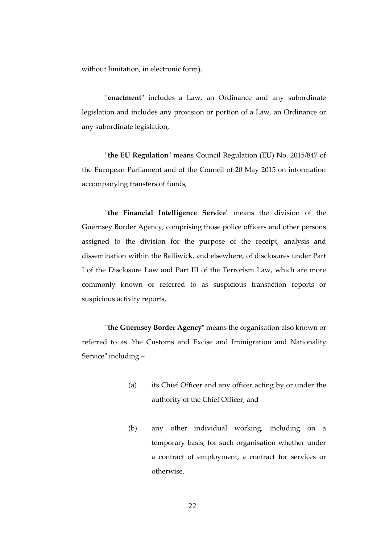without limitation, in electronic form),

"**enactment**" includes a Law, an Ordinance and any subordinate legislation and includes any provision or portion of a Law, an Ordinance or any subordinate legislation,

"**the EU Regulation**" means Council Regulation (EU) No. 2015/847 of the European Parliament and of the Council of 20 May 2015 on information accompanying transfers of funds,

"**the Financial Intelligence Service**" means the division of the Guernsey Border Agency, comprising those police officers and other persons assigned to the division for the purpose of the receipt, analysis and dissemination within the Bailiwick, and elsewhere, of disclosures under Part I of the Disclosure Law and Part III of the Terrorism Law, which are more commonly known or referred to as suspicious transaction reports or suspicious activity reports,

**"the Guernsey Border Agency"** means the organisation also known or referred to as "the Customs and Excise and Immigration and Nationality Service" including –

- (a) its Chief Officer and any officer acting by or under the authority of the Chief Officer, and
- (b) any other individual working, including on a temporary basis, for such organisation whether under a contract of employment, a contract for services or otherwise,

22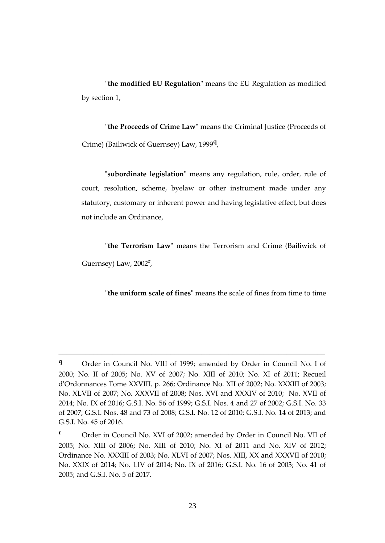"**the modified EU Regulation**" means the EU Regulation as modified by section 1,

"**the Proceeds of Crime Law**" means the Criminal Justice (Proceeds of Crime) (Bailiwick of Guernsey) Law, 1999**<sup>q</sup>** ,

"**subordinate legislation**" means any regulation, rule, order, rule of court, resolution, scheme, byelaw or other instrument made under any statutory, customary or inherent power and having legislative effect, but does not include an Ordinance,

"**the Terrorism Law**" means the Terrorism and Crime (Bailiwick of Guernsey) Law, 2002**<sup>r</sup>** ,

"**the uniform scale of fines**" means the scale of fines from time to time

**<sup>q</sup>** Order in Council No. VIII of 1999; amended by Order in Council No. I of 2000; No. II of 2005; No. XV of 2007; No. XIII of 2010; No. XI of 2011; Recueil d'Ordonnances Tome XXVIII, p. 266; Ordinance No. XII of 2002; No. XXXIII of 2003; No. XLVII of 2007; No. XXXVII of 2008; Nos. XVI and XXXIV of 2010; No. XVII of 2014; No. IX of 2016; G.S.I. No. 56 of 1999; G.S.I. Nos. 4 and 27 of 2002; G.S.I. No. 33 of 2007; G.S.I. Nos. 48 and 73 of 2008; G.S.I. No. 12 of 2010; G.S.I. No. 14 of 2013; and G.S.I. No. 45 of 2016.

**<sup>r</sup>** Order in Council No. XVI of 2002; amended by Order in Council No. VII of 2005; No. XIII of 2006; No. XIII of 2010; No. XI of 2011 and No. XIV of 2012; Ordinance No. XXXIII of 2003; No. XLVI of 2007; Nos. XIII, XX and XXXVII of 2010; No. XXIX of 2014; No. LIV of 2014; No. IX of 2016; G.S.I. No. 16 of 2003; No. 41 of 2005; and G.S.I. No. 5 of 2017.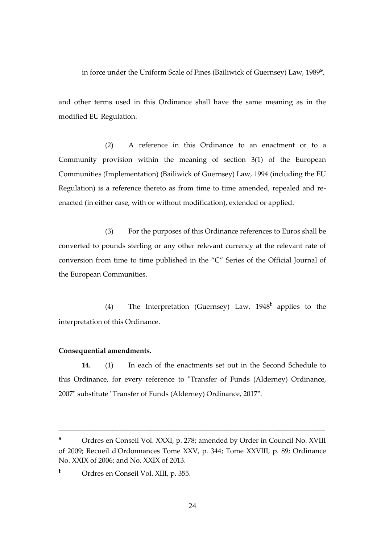in force under the Uniform Scale of Fines (Bailiwick of Guernsey) Law, 1989**<sup>s</sup>** ,

and other terms used in this Ordinance shall have the same meaning as in the modified EU Regulation.

(2) A reference in this Ordinance to an enactment or to a Community provision within the meaning of section 3(1) of the European Communities (Implementation) (Bailiwick of Guernsey) Law, 1994 (including the EU Regulation) is a reference thereto as from time to time amended, repealed and reenacted (in either case, with or without modification), extended or applied.

(3) For the purposes of this Ordinance references to Euros shall be converted to pounds sterling or any other relevant currency at the relevant rate of conversion from time to time published in the "C" Series of the Official Journal of the European Communities.

(4) The Interpretation (Guernsey) Law, 1948**<sup>t</sup>** applies to the interpretation of this Ordinance.

#### **Consequential amendments.**

**14.** (1) In each of the enactments set out in the Second Schedule to this Ordinance, for every reference to "Transfer of Funds (Alderney) Ordinance, 2007" substitute "Transfer of Funds (Alderney) Ordinance, 2017".

**<sup>s</sup>** Ordres en Conseil Vol. XXXI, p. 278; amended by Order in Council No. XVIII of 2009; Recueil d'Ordonnances Tome XXV, p. 344; Tome XXVIII, p. 89; Ordinance No. XXIX of 2006; and No. XXIX of 2013.

**<sup>t</sup>** Ordres en Conseil Vol. XIII, p. 355.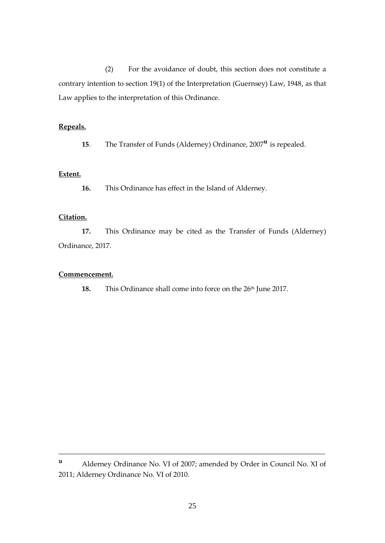(2) For the avoidance of doubt, this section does not constitute a contrary intention to section 19(1) of the Interpretation (Guernsey) Law, 1948, as that Law applies to the interpretation of this Ordinance.

## **Repeals.**

**15**. The Transfer of Funds (Alderney) Ordinance, 2007**<sup>u</sup>** is repealed.

## **Extent.**

**16.** This Ordinance has effect in the Island of Alderney.

## **Citation.**

**17.** This Ordinance may be cited as the Transfer of Funds (Alderney) Ordinance, 2017.

#### **Commencement.**

**18.** This Ordinance shall come into force on the 26<sup>th</sup> June 2017.

**<sup>u</sup>** Alderney Ordinance No. VI of 2007; amended by Order in Council No. XI of 2011; Alderney Ordinance No. VI of 2010.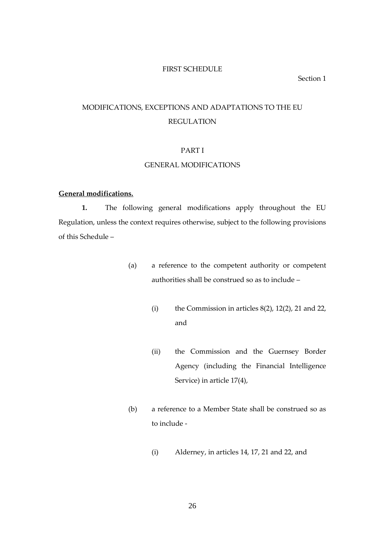#### FIRST SCHEDULE

#### Section 1

## MODIFICATIONS, EXCEPTIONS AND ADAPTATIONS TO THE EU REGULATION

#### PART I

#### GENERAL MODIFICATIONS

## **General modifications.**

**1.** The following general modifications apply throughout the EU Regulation, unless the context requires otherwise, subject to the following provisions of this Schedule –

- (a) a reference to the competent authority or competent authorities shall be construed so as to include –
	- (i) the Commission in articles  $8(2)$ ,  $12(2)$ ,  $21$  and  $22$ , and
	- (ii) the Commission and the Guernsey Border Agency (including the Financial Intelligence Service) in article 17(4),
- (b) a reference to a Member State shall be construed so as to include -
	- (i) Alderney, in articles 14, 17, 21 and 22, and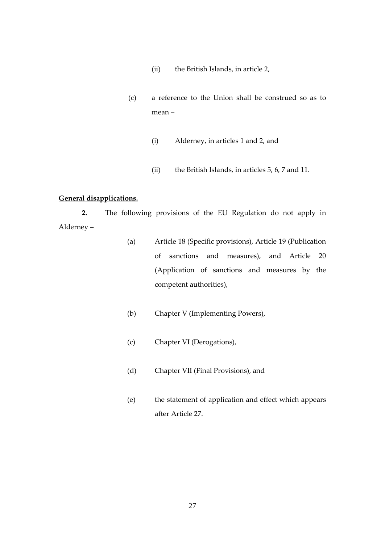- (ii) the British Islands, in article 2,
- (c) a reference to the Union shall be construed so as to mean –
	- (i) Alderney, in articles 1 and 2, and
	- (ii) the British Islands, in articles 5, 6, 7 and 11.

## **General disapplications.**

**2.** The following provisions of the EU Regulation do not apply in Alderney –

- (a) Article 18 (Specific provisions), Article 19 (Publication of sanctions and measures), and Article 20 (Application of sanctions and measures by the competent authorities),
- (b) Chapter V (Implementing Powers),
- (c) Chapter VI (Derogations),
- (d) Chapter VII (Final Provisions), and
- (e) the statement of application and effect which appears after Article 27.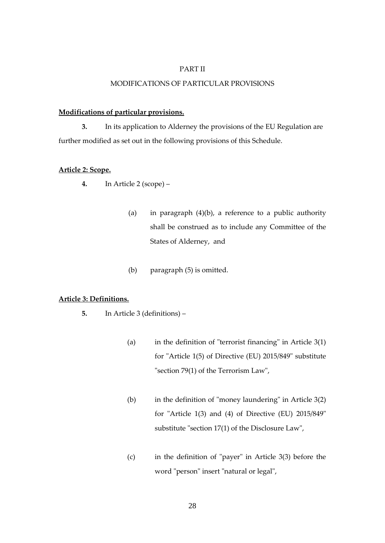#### PART II

## MODIFICATIONS OF PARTICULAR PROVISIONS

#### **Modifications of particular provisions.**

**3.** In its application to Alderney the provisions of the EU Regulation are further modified as set out in the following provisions of this Schedule.

## **Article 2: Scope.**

- **4.** In Article 2 (scope)
	- (a) in paragraph (4)(b), a reference to a public authority shall be construed as to include any Committee of the States of Alderney, and
	- (b) paragraph (5) is omitted.

## **Article 3: Definitions.**

- **5.** In Article 3 (definitions)
	- (a) in the definition of "terrorist financing" in Article 3(1) for "Article 1(5) of Directive (EU) 2015/849" substitute "section 79(1) of the Terrorism Law",
	- (b) in the definition of "money laundering" in Article 3(2) for "Article 1(3) and (4) of Directive (EU) 2015/849" substitute "section 17(1) of the Disclosure Law",
	- (c) in the definition of "payer" in Article 3(3) before the word "person" insert "natural or legal",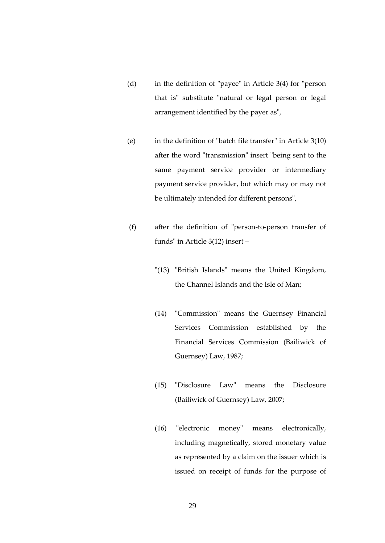- (d) in the definition of "payee" in Article 3(4) for "person that is" substitute "natural or legal person or legal arrangement identified by the payer as",
- (e) in the definition of "batch file transfer" in Article 3(10) after the word "transmission" insert "being sent to the same payment service provider or intermediary payment service provider, but which may or may not be ultimately intended for different persons",
- (f) after the definition of "person-to-person transfer of funds" in Article 3(12) insert –
	- "(13) "British Islands" means the United Kingdom, the Channel Islands and the Isle of Man;
	- (14) "Commission" means the Guernsey Financial Services Commission established by the Financial Services Commission (Bailiwick of Guernsey) Law, 1987;
	- (15) "Disclosure Law" means the Disclosure (Bailiwick of Guernsey) Law, 2007;
	- (16) "electronic money" means electronically, including magnetically, stored monetary value as represented by a claim on the issuer which is issued on receipt of funds for the purpose of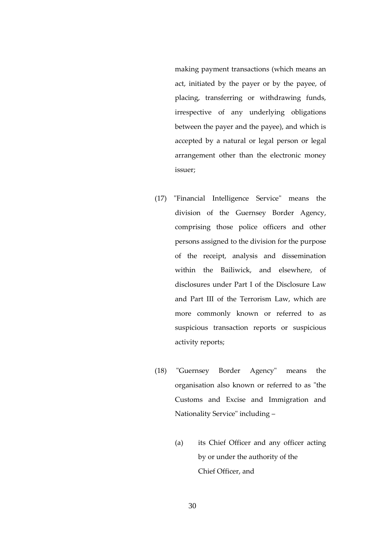making payment transactions (which means an act, initiated by the payer or by the payee, of placing, transferring or withdrawing funds, irrespective of any underlying obligations between the payer and the payee), and which is accepted by a natural or legal person or legal arrangement other than the electronic money issuer;

- (17) "Financial Intelligence Service" means the division of the Guernsey Border Agency, comprising those police officers and other persons assigned to the division for the purpose of the receipt, analysis and dissemination within the Bailiwick, and elsewhere, of disclosures under Part I of the Disclosure Law and Part III of the Terrorism Law, which are more commonly known or referred to as suspicious transaction reports or suspicious activity reports;
- (18) "Guernsey Border Agency" means the organisation also known or referred to as "the Customs and Excise and Immigration and Nationality Service" including –
	- (a) its Chief Officer and any officer acting by or under the authority of the Chief Officer, and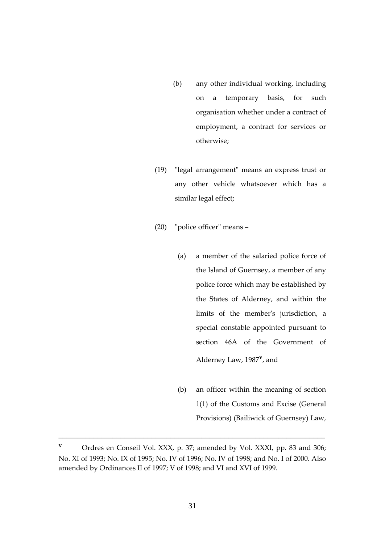- (b) any other individual working, including on a temporary basis, for such organisation whether under a contract of employment, a contract for services or otherwise;
- (19) "legal arrangement" means an express trust or any other vehicle whatsoever which has a similar legal effect;
- (20) "police officer" means
	- (a) a member of the salaried police force of the Island of Guernsey, a member of any police force which may be established by the States of Alderney, and within the limits of the member's jurisdiction, a special constable appointed pursuant to section 46A of the Government of Alderney Law, 1987**<sup>v</sup>** , and
	- (b) an officer within the meaning of section 1(1) of the Customs and Excise (General Provisions) (Bailiwick of Guernsey) Law,

**v** Ordres en Conseil Vol. XXX, p. 37; amended by Vol. XXXI, pp. 83 and 306; No. XI of 1993; No. IX of 1995; No. IV of 1996; No. IV of 1998; and No. I of 2000. Also amended by Ordinances II of 1997; V of 1998; and VI and XVI of 1999.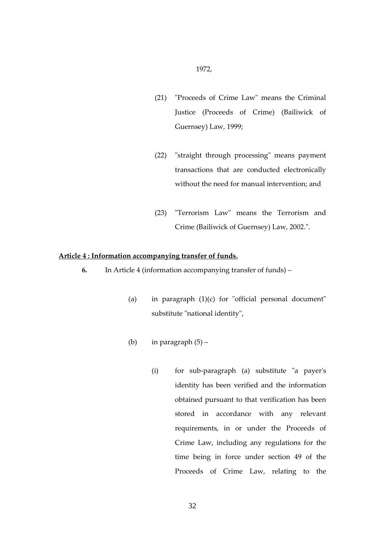- (21) "Proceeds of Crime Law" means the Criminal Justice (Proceeds of Crime) (Bailiwick of Guernsey) Law, 1999;
- (22) "straight through processing" means payment transactions that are conducted electronically without the need for manual intervention; and
- (23) "Terrorism Law" means the Terrorism and Crime (Bailiwick of Guernsey) Law, 2002.".

#### **Article 4 : Information accompanying transfer of funds.**

- **6.** In Article 4 (information accompanying transfer of funds)
	- (a) in paragraph (1)(c) for "official personal document" substitute "national identity",
	- (b) in paragraph  $(5)$ 
		- (i) for sub-paragraph (a) substitute "a payer's identity has been verified and the information obtained pursuant to that verification has been stored in accordance with any relevant requirements, in or under the Proceeds of Crime Law, including any regulations for the time being in force under section 49 of the Proceeds of Crime Law, relating to the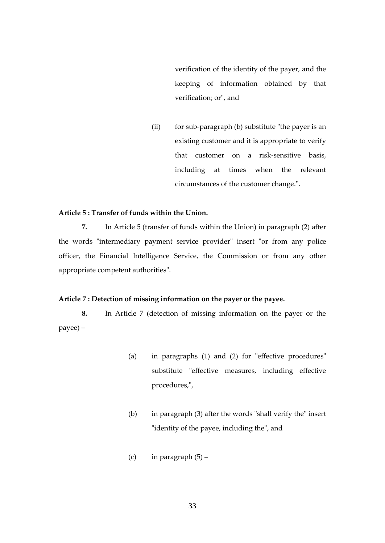verification of the identity of the payer, and the keeping of information obtained by that verification; or", and

(ii) for sub-paragraph (b) substitute "the payer is an existing customer and it is appropriate to verify that customer on a risk-sensitive basis, including at times when the relevant circumstances of the customer change.".

#### **Article 5 : Transfer of funds within the Union.**

**7.** In Article 5 (transfer of funds within the Union) in paragraph (2) after the words "intermediary payment service provider" insert "or from any police officer, the Financial Intelligence Service, the Commission or from any other appropriate competent authorities".

#### **Article 7 : Detection of missing information on the payer or the payee.**

**8.** In Article 7 (detection of missing information on the payer or the payee) –

- (a) in paragraphs (1) and (2) for "effective procedures" substitute "effective measures, including effective procedures,",
- (b) in paragraph (3) after the words "shall verify the" insert "identity of the payee, including the", and
- (c) in paragraph  $(5)$  –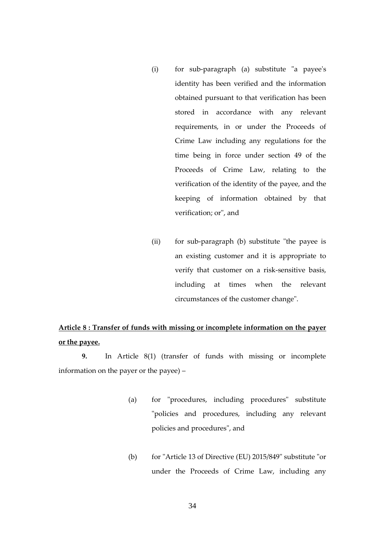- (i) for sub-paragraph (a) substitute "a payee's identity has been verified and the information obtained pursuant to that verification has been stored in accordance with any relevant requirements, in or under the Proceeds of Crime Law including any regulations for the time being in force under section 49 of the Proceeds of Crime Law, relating to the verification of the identity of the payee, and the keeping of information obtained by that verification; or", and
- (ii) for sub-paragraph (b) substitute "the payee is an existing customer and it is appropriate to verify that customer on a risk-sensitive basis, including at times when the relevant circumstances of the customer change".

## **Article 8 : Transfer of funds with missing or incomplete information on the payer or the payee.**

**9.** In Article 8(1) (transfer of funds with missing or incomplete information on the payer or the payee) –

- (a) for "procedures, including procedures" substitute "policies and procedures, including any relevant policies and procedures", and
- (b) for "Article 13 of Directive (EU) 2015/849" substitute "or under the Proceeds of Crime Law, including any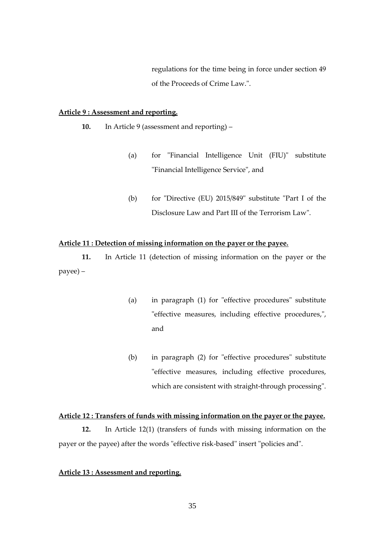regulations for the time being in force under section 49 of the Proceeds of Crime Law.".

## **Article 9 : Assessment and reporting.**

- **10.** In Article 9 (assessment and reporting)
	- (a) for "Financial Intelligence Unit (FIU)" substitute "Financial Intelligence Service", and
	- (b) for "Directive (EU)  $2015/849$ " substitute "Part I of the Disclosure Law and Part III of the Terrorism Law".

## **Article 11 : Detection of missing information on the payer or the payee.**

**11.** In Article 11 (detection of missing information on the payer or the payee) –

- (a) in paragraph (1) for "effective procedures" substitute "effective measures, including effective procedures,", and
- (b) in paragraph (2) for "effective procedures" substitute "effective measures, including effective procedures, which are consistent with straight-through processing".

#### **Article 12 : Transfers of funds with missing information on the payer or the payee.**

**12.** In Article 12(1) (transfers of funds with missing information on the payer or the payee) after the words "effective risk-based" insert "policies and".

## **Article 13 : Assessment and reporting.**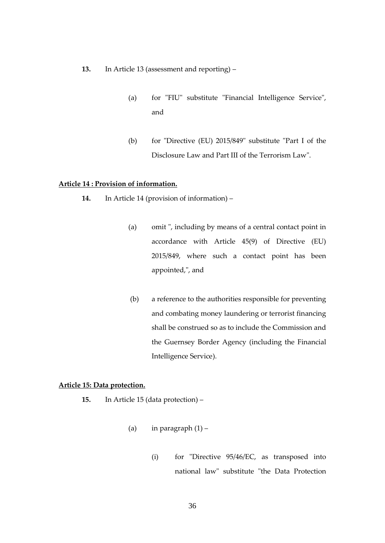- **13.** In Article 13 (assessment and reporting)
	- (a) for "FIU" substitute "Financial Intelligence Service", and
	- (b) for "Directive (EU) 2015/849" substitute "Part I of the Disclosure Law and Part III of the Terrorism Law".

#### **Article 14 : Provision of information.**

- **14.** In Article 14 (provision of information)
	- (a) omit ", including by means of a central contact point in accordance with Article 45(9) of Directive (EU) 2015/849, where such a contact point has been appointed,", and
	- (b) a reference to the authorities responsible for preventing and combating money laundering or terrorist financing shall be construed so as to include the Commission and the Guernsey Border Agency (including the Financial Intelligence Service).

## **Article 15: Data protection.**

- **15.** In Article 15 (data protection)
	- (a) in paragraph  $(1)$ 
		- (i) for "Directive 95/46/EC, as transposed into national law" substitute "the Data Protection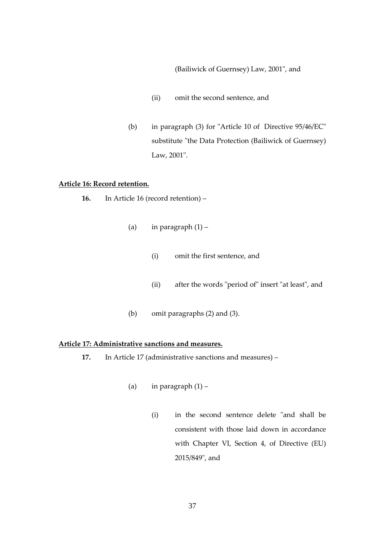(Bailiwick of Guernsey) Law, 2001", and

- (ii) omit the second sentence, and
- (b) in paragraph (3) for "Article 10 of Directive 95/46/EC" substitute "the Data Protection (Bailiwick of Guernsey) Law, 2001".

#### **Article 16: Record retention.**

- **16.** In Article 16 (record retention)
	- (a) in paragraph  $(1)$ 
		- (i) omit the first sentence, and
		- (ii) after the words "period of" insert "at least", and
	- (b) omit paragraphs (2) and (3).

## **Article 17: Administrative sanctions and measures.**

- **17.** In Article 17 (administrative sanctions and measures)
	- (a) in paragraph  $(1)$ 
		- (i) in the second sentence delete "and shall be consistent with those laid down in accordance with Chapter VI, Section 4, of Directive (EU) 2015/849", and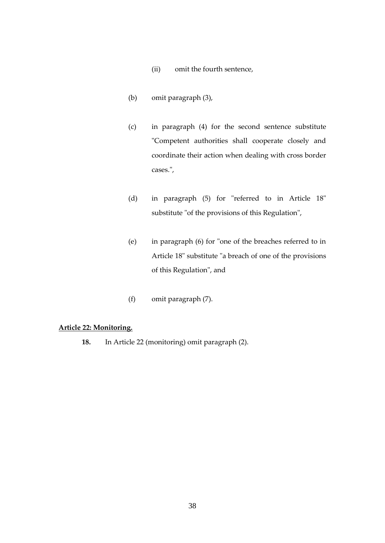- (ii) omit the fourth sentence,
- (b) omit paragraph (3),
- (c) in paragraph (4) for the second sentence substitute "Competent authorities shall cooperate closely and coordinate their action when dealing with cross border cases.",
- (d) in paragraph (5) for "referred to in Article 18" substitute "of the provisions of this Regulation",
- (e) in paragraph (6) for "one of the breaches referred to in Article 18" substitute "a breach of one of the provisions of this Regulation", and
- (f) omit paragraph (7).

## **Article 22: Monitoring.**

**18.** In Article 22 (monitoring) omit paragraph (2).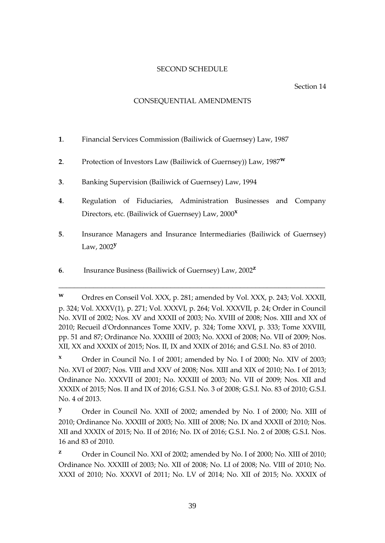## SECOND SCHEDULE

#### Section 14

## CONSEQUENTIAL AMENDMENTS

- **1**. Financial Services Commission (Bailiwick of Guernsey) Law, 1987
- **2**. Protection of Investors Law (Bailiwick of Guernsey)) Law, 1987**<sup>w</sup>**
- **3**. Banking Supervision (Bailiwick of Guernsey) Law, 1994
- **4**. Regulation of Fiduciaries, Administration Businesses and Company Directors, etc. (Bailiwick of Guernsey) Law, 2000**<sup>x</sup>**
- **5**. Insurance Managers and Insurance Intermediaries (Bailiwick of Guernsey) Law, 2002**<sup>y</sup>**
- **6**. Insurance Business (Bailiwick of Guernsey) Law, 2002**<sup>z</sup>**

\_\_\_\_\_\_\_\_\_\_\_\_\_\_\_\_\_\_\_\_\_\_\_\_\_\_\_\_\_\_\_\_\_\_\_\_\_\_\_\_\_\_\_\_\_\_\_\_\_\_\_\_\_\_\_\_\_\_\_\_\_\_\_\_\_\_\_\_\_

**<sup>x</sup>** Order in Council No. I of 2001; amended by No. I of 2000; No. XIV of 2003; No. XVI of 2007; Nos. VIII and XXV of 2008; Nos. XIII and XIX of 2010; No. I of 2013; Ordinance No. XXXVII of 2001; No. XXXIII of 2003; No. VII of 2009; Nos. XII and XXXIX of 2015; Nos. II and IX of 2016; G.S.I. No. 3 of 2008; G.S.I. No. 83 of 2010; G.S.I. No. 4 of 2013.

**<sup>y</sup>** Order in Council No. XXII of 2002; amended by No. I of 2000; No. XIII of 2010; Ordinance No. XXXIII of 2003; No. XIII of 2008; No. IX and XXXII of 2010; Nos. XII and XXXIX of 2015; No. II of 2016; No. IX of 2016; G.S.I. No. 2 of 2008; G.S.I. Nos. 16 and 83 of 2010.

**z** Order in Council No. XXI of 2002; amended by No. I of 2000; No. XIII of 2010; Ordinance No. XXXIII of 2003; No. XII of 2008; No. LI of 2008; No. VIII of 2010; No. XXXI of 2010; No. XXXVI of 2011; No. LV of 2014; No. XII of 2015; No. XXXIX of

**<sup>w</sup>** Ordres en Conseil Vol. XXX, p. 281; amended by Vol. XXX, p. 243; Vol. XXXII, p. 324; Vol. XXXV(1), p. 271; Vol. XXXVI, p. 264; Vol. XXXVII, p. 24; Order in Council No. XVII of 2002; Nos. XV and XXXII of 2003; No. XVIII of 2008; Nos. XIII and XX of 2010; Recueil d'Ordonnances Tome XXIV, p. 324; Tome XXVI, p. 333; Tome XXVIII, pp. 51 and 87; Ordinance No. XXXIII of 2003; No. XXXI of 2008; No. VII of 2009; Nos. XII, XX and XXXIX of 2015; Nos. II, IX and XXIX of 2016; and G.S.I. No. 83 of 2010.